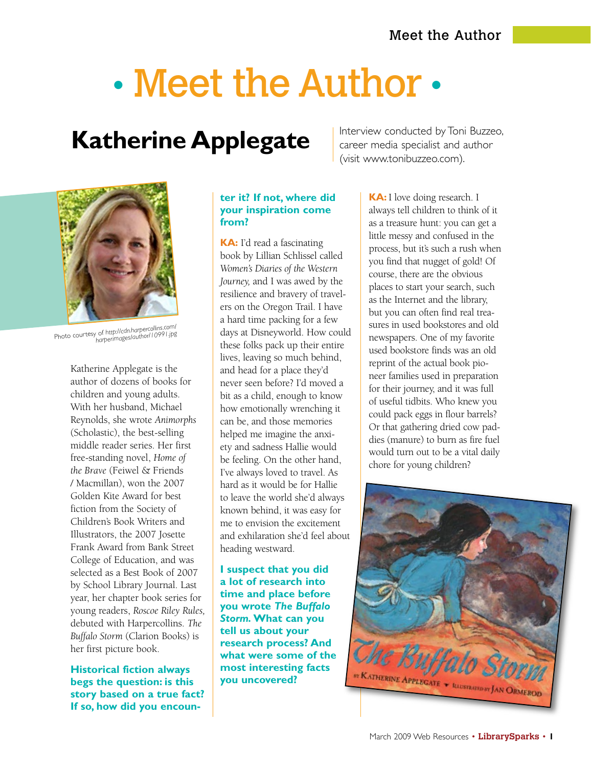# • Meet the Author •

## **Katherine Applegate**

Interview conducted by Toni Buzzeo, career media specialist and author (visit www.tonibuzzeo.com).



Photo courtesy of *http://cdn.harpercollins.com/ harperimages/author/10991.jpg*

Katherine Applegate is the author of dozens of books for children and young adults. With her husband, Michael Reynolds, she wrote *Animorphs* (Scholastic), the best-selling middle reader series. Her first free-standing novel, *Home of the Brave* (Feiwel & Friends / Macmillan), won the 2007 Golden Kite Award for best fiction from the Society of Children's Book Writers and Illustrators, the 2007 Josette Frank Award from Bank Street College of Education, and was selected as a Best Book of 2007 by School Library Journal. Last year, her chapter book series for young readers, *Roscoe Riley Rules,* debuted with Harpercollins. *The Buffalo Storm* (Clarion Books) is her first picture book.

**Historical fiction always begs the question: is this story based on a true fact? If so, how did you encoun-**

#### **ter it? If not, where did your inspiration come from?**

**KA:** I'd read a fascinating book by Lillian Schlissel called *Women's Diaries of the Western Journey,* and I was awed by the resilience and bravery of travelers on the Oregon Trail. I have a hard time packing for a few days at Disneyworld. How could these folks pack up their entire lives, leaving so much behind, and head for a place they'd never seen before? I'd moved a bit as a child, enough to know how emotionally wrenching it can be, and those memories helped me imagine the anxiety and sadness Hallie would be feeling. On the other hand, I've always loved to travel. As hard as it would be for Hallie to leave the world she'd always known behind, it was easy for me to envision the excitement and exhilaration she'd feel about heading westward.

**I suspect that you did a lot of research into time and place before you wrote** *The Buffalo Storm.* **What can you tell us about your research process? And what were some of the most interesting facts you uncovered?** 

**KA:** I love doing research. I always tell children to think of it as a treasure hunt: you can get a little messy and confused in the process, but it's such a rush when you find that nugget of gold! Of course, there are the obvious places to start your search, such as the Internet and the library, but you can often find real treasures in used bookstores and old newspapers. One of my favorite used bookstore finds was an old reprint of the actual book pioneer families used in preparation for their journey, and it was full of useful tidbits. Who knew you could pack eggs in flour barrels? Or that gathering dried cow paddies (manure) to burn as fire fuel would turn out to be a vital daily chore for young children?